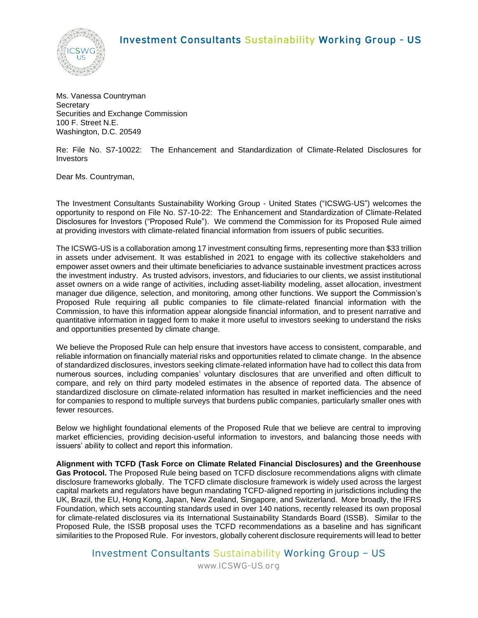## Investment Consultants Sustainability Working Group - US



Ms. Vanessa Countryman **Secretary** Securities and Exchange Commission 100 F. Street N.E. Washington, D.C. 20549

Re: File No. S7-10022: The Enhancement and Standardization of Climate-Related Disclosures for Investors

Dear Ms. Countryman,

The Investment Consultants Sustainability Working Group - United States ("ICSWG-US") welcomes the opportunity to respond on File No. S7-10-22: The Enhancement and Standardization of Climate-Related Disclosures for Investors ("Proposed Rule"). We commend the Commission for its Proposed Rule aimed at providing investors with climate-related financial information from issuers of public securities.

The ICSWG-US is a collaboration among 17 investment consulting firms, representing more than \$33 trillion in assets under advisement. It was established in 2021 to engage with its collective stakeholders and empower asset owners and their ultimate beneficiaries to advance sustainable investment practices across the investment industry. As trusted advisors, investors, and fiduciaries to our clients, we assist institutional asset owners on a wide range of activities, including asset-liability modeling, asset allocation, investment manager due diligence, selection, and monitoring, among other functions. We support the Commission's Proposed Rule requiring all public companies to file climate-related financial information with the Commission, to have this information appear alongside financial information, and to present narrative and quantitative information in tagged form to make it more useful to investors seeking to understand the risks and opportunities presented by climate change.

We believe the Proposed Rule can help ensure that investors have access to consistent, comparable, and reliable information on financially material risks and opportunities related to climate change. In the absence of standardized disclosures, investors seeking climate-related information have had to collect this data from numerous sources, including companies' voluntary disclosures that are unverified and often difficult to compare, and rely on third party modeled estimates in the absence of reported data. The absence of standardized disclosure on climate-related information has resulted in market inefficiencies and the need for companies to respond to multiple surveys that burdens public companies, particularly smaller ones with fewer resources.

Below we highlight foundational elements of the Proposed Rule that we believe are central to improving market efficiencies, providing decision-useful information to investors, and balancing those needs with issuers' ability to collect and report this information.

**Alignment with TCFD (Task Force on Climate Related Financial Disclosures) and the Greenhouse Gas Protocol.** The Proposed Rule being based on TCFD disclosure recommendations aligns with climate disclosure frameworks globally. The TCFD climate disclosure framework is widely used across the largest capital markets and regulators have begun mandating TCFD-aligned reporting in jurisdictions including the UK, Brazil, the EU, Hong Kong, Japan, New Zealand, Singapore, and Switzerland. More broadly, the IFRS Foundation, which sets accounting standards used in over 140 nations, recently released its own proposal for climate-related disclosures via its International Sustainability Standards Board (ISSB). Similar to the Proposed Rule, the ISSB proposal uses the TCFD recommendations as a baseline and has significant similarities to the Proposed Rule. For investors, globally coherent disclosure requirements will lead to better

Investment Consultants Sustainability Working Group – US

www.ICSWG-US.org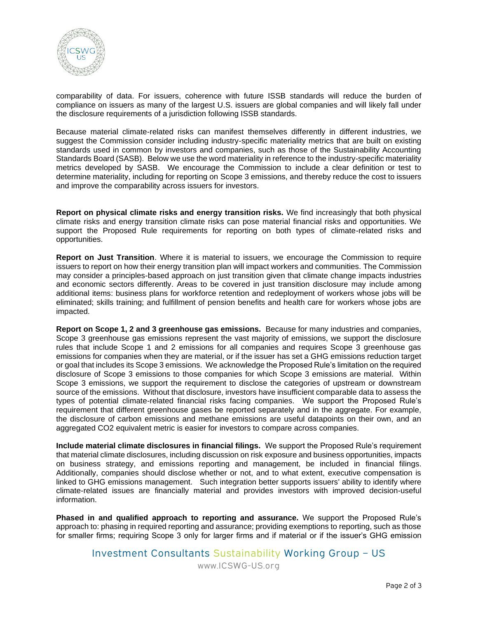

comparability of data. For issuers, coherence with future ISSB standards will reduce the burden of compliance on issuers as many of the largest U.S. issuers are global companies and will likely fall under the disclosure requirements of a jurisdiction following ISSB standards.

Because material climate-related risks can manifest themselves differently in different industries, we suggest the Commission consider including industry-specific materiality metrics that are built on existing standards used in common by investors and companies, such as those of the Sustainability Accounting Standards Board (SASB). Below we use the word materiality in reference to the industry-specific materiality metrics developed by SASB. We encourage the Commission to include a clear definition or test to determine materiality, including for reporting on Scope 3 emissions, and thereby reduce the cost to issuers and improve the comparability across issuers for investors.

**Report on physical climate risks and energy transition risks.** We find increasingly that both physical climate risks and energy transition climate risks can pose material financial risks and opportunities. We support the Proposed Rule requirements for reporting on both types of climate-related risks and opportunities.

**Report on Just Transition**. Where it is material to issuers, we encourage the Commission to require issuers to report on how their energy transition plan will impact workers and communities. The Commission may consider a principles-based approach on just transition given that climate change impacts industries and economic sectors differently. Areas to be covered in just transition disclosure may include among additional items: business plans for workforce retention and redeployment of workers whose jobs will be eliminated; skills training; and fulfillment of pension benefits and health care for workers whose jobs are impacted.

**Report on Scope 1, 2 and 3 greenhouse gas emissions.** Because for many industries and companies, Scope 3 greenhouse gas emissions represent the vast majority of emissions, we support the disclosure rules that include Scope 1 and 2 emissions for all companies and requires Scope 3 greenhouse gas emissions for companies when they are material, or if the issuer has set a GHG emissions reduction target or goal that includes its Scope 3 emissions. We acknowledge the Proposed Rule's limitation on the required disclosure of Scope 3 emissions to those companies for which Scope 3 emissions are material. Within Scope 3 emissions, we support the requirement to disclose the categories of upstream or downstream source of the emissions. Without that disclosure, investors have insufficient comparable data to assess the types of potential climate-related financial risks facing companies. We support the Proposed Rule's requirement that different greenhouse gases be reported separately and in the aggregate. For example, the disclosure of carbon emissions and methane emissions are useful datapoints on their own, and an aggregated CO2 equivalent metric is easier for investors to compare across companies.

**Include material climate disclosures in financial filings.** We support the Proposed Rule's requirement that material climate disclosures, including discussion on risk exposure and business opportunities, impacts on business strategy, and emissions reporting and management, be included in financial filings. Additionally, companies should disclose whether or not, and to what extent, executive compensation is linked to GHG emissions management. Such integration better supports issuers' ability to identify where climate-related issues are financially material and provides investors with improved decision-useful information.

**Phased in and qualified approach to reporting and assurance.** We support the Proposed Rule's approach to: phasing in required reporting and assurance; providing exemptions to reporting, such as those for smaller firms; requiring Scope 3 only for larger firms and if material or if the issuer's GHG emission

Investment Consultants Sustainability Working Group – US

www.ICSWG-US.org